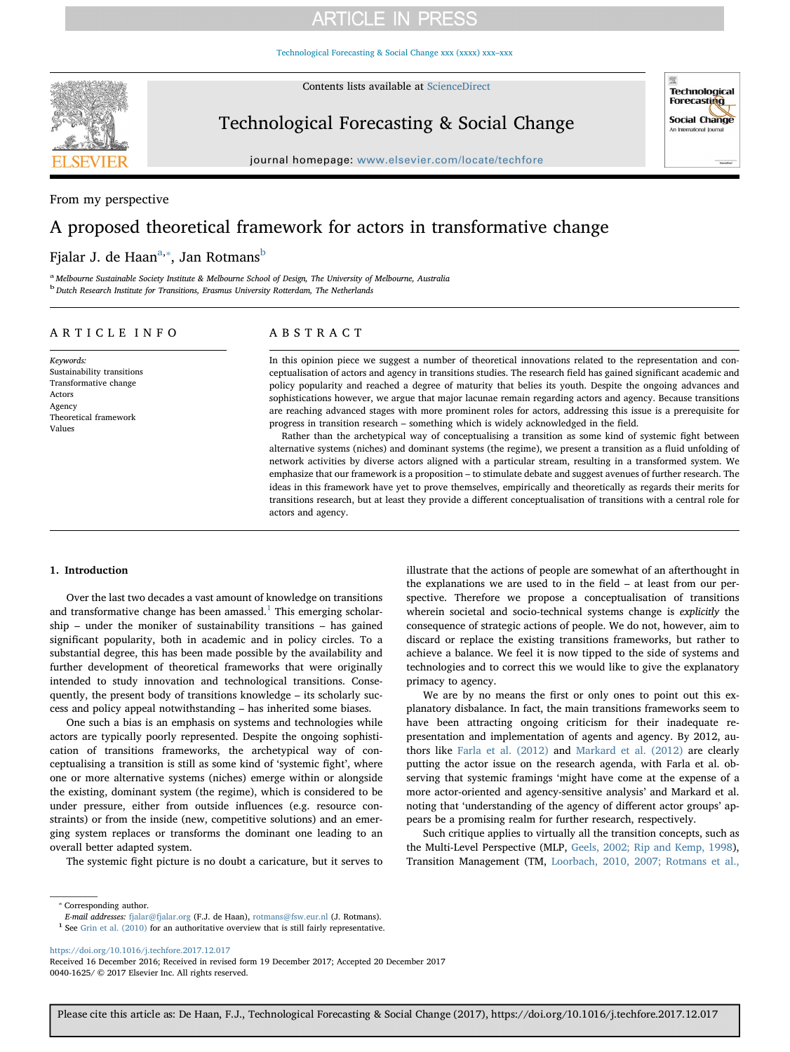[Technological Forecasting & Social Change xxx \(xxxx\) xxx–xxx](https://doi.org/10.1016/j.techfore.2017.12.017)

Contents lists available at [ScienceDirect](http://www.sciencedirect.com/science/journal/00401625)



Technological Forecasting & Social Change



journal homepage: [www.elsevier.com/locate/techfore](https://www.elsevier.com/locate/techfore)

From my perspective

# A proposed theoretical framework for actors in transformative change

Fjalar J. de Haan<sup>[a,](#page-0-0)</sup>\*, Jan Rotmans<sup>[b](#page-0-2)</sup>

<span id="page-0-2"></span><span id="page-0-0"></span>a Melbourne Sustainable Society Institute & Melbourne School of Design, The University of Melbourne, Australia <sup>b</sup> Dutch Research Institute for Transitions, Erasmus University Rotterdam, The Netherlands

### ARTICLE INFO

Keywords: Sustainability transitions Transformative change Actors Agency Theoretical framework Values

### ABSTRACT

In this opinion piece we suggest a number of theoretical innovations related to the representation and conceptualisation of actors and agency in transitions studies. The research field has gained significant academic and policy popularity and reached a degree of maturity that belies its youth. Despite the ongoing advances and sophistications however, we argue that major lacunae remain regarding actors and agency. Because transitions are reaching advanced stages with more prominent roles for actors, addressing this issue is a prerequisite for progress in transition research – something which is widely acknowledged in the field.

Rather than the archetypical way of conceptualising a transition as some kind of systemic fight between alternative systems (niches) and dominant systems (the regime), we present a transition as a fluid unfolding of network activities by diverse actors aligned with a particular stream, resulting in a transformed system. We emphasize that our framework is a proposition – to stimulate debate and suggest avenues of further research. The ideas in this framework have yet to prove themselves, empirically and theoretically as regards their merits for transitions research, but at least they provide a different conceptualisation of transitions with a central role for actors and agency.

### <span id="page-0-4"></span>1. Introduction

Over the last two decades a vast amount of knowledge on transitions and transformative change has been amassed. $<sup>1</sup>$  $<sup>1</sup>$  $<sup>1</sup>$  This emerging scholar-</sup> ship – under the moniker of sustainability transitions – has gained significant popularity, both in academic and in policy circles. To a substantial degree, this has been made possible by the availability and further development of theoretical frameworks that were originally intended to study innovation and technological transitions. Consequently, the present body of transitions knowledge – its scholarly success and policy appeal notwithstanding – has inherited some biases.

One such a bias is an emphasis on systems and technologies while actors are typically poorly represented. Despite the ongoing sophistication of transitions frameworks, the archetypical way of conceptualising a transition is still as some kind of 'systemic fight', where one or more alternative systems (niches) emerge within or alongside the existing, dominant system (the regime), which is considered to be under pressure, either from outside influences (e.g. resource constraints) or from the inside (new, competitive solutions) and an emerging system replaces or transforms the dominant one leading to an overall better adapted system.

The systemic fight picture is no doubt a caricature, but it serves to

illustrate that the actions of people are somewhat of an afterthought in the explanations we are used to in the field – at least from our perspective. Therefore we propose a conceptualisation of transitions wherein societal and socio-technical systems change is explicitly the consequence of strategic actions of people. We do not, however, aim to discard or replace the existing transitions frameworks, but rather to achieve a balance. We feel it is now tipped to the side of systems and technologies and to correct this we would like to give the explanatory primacy to agency.

We are by no means the first or only ones to point out this explanatory disbalance. In fact, the main transitions frameworks seem to have been attracting ongoing criticism for their inadequate representation and implementation of agents and agency. By 2012, authors like [Farla et al. \(2012\)](#page-10-0) and [Markard et al. \(2012\)](#page-11-0) are clearly putting the actor issue on the research agenda, with Farla et al. observing that systemic framings 'might have come at the expense of a more actor-oriented and agency-sensitive analysis' and Markard et al. noting that 'understanding of the agency of different actor groups' appears be a promising realm for further research, respectively.

Such critique applies to virtually all the transition concepts, such as the Multi-Level Perspective (MLP, [Geels, 2002; Rip and Kemp, 1998](#page-10-1)), Transition Management (TM, [Loorbach, 2010, 2007; Rotmans et al.,](#page-11-1)

<span id="page-0-1"></span>⁎ Corresponding author.

<https://doi.org/10.1016/j.techfore.2017.12.017>

Received 16 December 2016; Received in revised form 19 December 2017; Accepted 20 December 2017 0040-1625/ © 2017 Elsevier Inc. All rights reserved.

E-mail addresses: [fjalar@fjalar.org](mailto:fjalar@fjalar.org) (F.J. de Haan), [rotmans@fsw.eur.nl](mailto:rotmans@fsw.eur.nl) (J. Rotmans). 1 See [Grin et al. \(2010\)](#page-10-2) for an authoritative overview that is still fairly representative.

<span id="page-0-3"></span>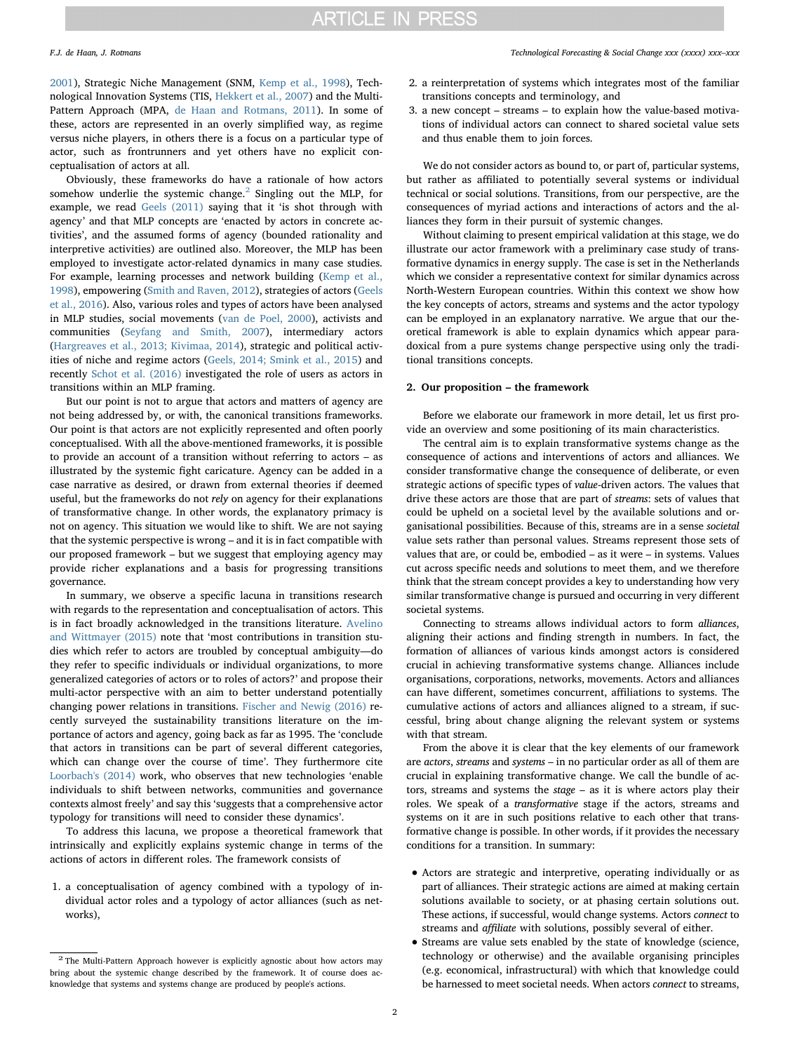[2001\)](#page-11-1), Strategic Niche Management (SNM, [Kemp et al., 1998\)](#page-10-3), Technological Innovation Systems (TIS, [Hekkert et al., 2007\)](#page-10-4) and the Multi-Pattern Approach (MPA, [de Haan and Rotmans, 2011\)](#page-10-5). In some of these, actors are represented in an overly simplified way, as regime versus niche players, in others there is a focus on a particular type of actor, such as frontrunners and yet others have no explicit conceptualisation of actors at all.

Obviously, these frameworks do have a rationale of how actors somehow underlie the systemic change.<sup>[2](#page-1-0)</sup> Singling out the MLP, for example, we read [Geels \(2011\)](#page-10-6) saying that it 'is shot through with agency' and that MLP concepts are 'enacted by actors in concrete activities', and the assumed forms of agency (bounded rationality and interpretive activities) are outlined also. Moreover, the MLP has been employed to investigate actor-related dynamics in many case studies. For example, learning processes and network building ([Kemp et al.,](#page-10-3) [1998\)](#page-10-3), empowering [\(Smith and Raven, 2012\)](#page-11-2), strategies of actors ([Geels](#page-10-7) [et al., 2016](#page-10-7)). Also, various roles and types of actors have been analysed in MLP studies, social movements ([van de Poel, 2000\)](#page-11-3), activists and communities [\(Seyfang and Smith, 2007](#page-11-4)), intermediary actors ([Hargreaves et al., 2013; Kivimaa, 2014\)](#page-10-8), strategic and political activities of niche and regime actors ([Geels, 2014; Smink et al., 2015\)](#page-10-9) and recently [Schot et al. \(2016\)](#page-11-5) investigated the role of users as actors in transitions within an MLP framing.

But our point is not to argue that actors and matters of agency are not being addressed by, or with, the canonical transitions frameworks. Our point is that actors are not explicitly represented and often poorly conceptualised. With all the above-mentioned frameworks, it is possible to provide an account of a transition without referring to actors – as illustrated by the systemic fight caricature. Agency can be added in a case narrative as desired, or drawn from external theories if deemed useful, but the frameworks do not rely on agency for their explanations of transformative change. In other words, the explanatory primacy is not on agency. This situation we would like to shift. We are not saying that the systemic perspective is wrong – and it is in fact compatible with our proposed framework – but we suggest that employing agency may provide richer explanations and a basis for progressing transitions governance.

In summary, we observe a specific lacuna in transitions research with regards to the representation and conceptualisation of actors. This is in fact broadly acknowledged in the transitions literature. [Avelino](#page-10-10) [and Wittmayer \(2015\)](#page-10-10) note that 'most contributions in transition studies which refer to actors are troubled by conceptual ambiguity—do they refer to specific individuals or individual organizations, to more generalized categories of actors or to roles of actors?' and propose their multi-actor perspective with an aim to better understand potentially changing power relations in transitions. [Fischer and Newig \(2016\)](#page-10-11) recently surveyed the sustainability transitions literature on the importance of actors and agency, going back as far as 1995. The 'conclude that actors in transitions can be part of several different categories, which can change over the course of time'. They furthermore cite [Loorbach's \(2014\)](#page-11-6) work, who observes that new technologies 'enable individuals to shift between networks, communities and governance contexts almost freely' and say this 'suggests that a comprehensive actor typology for transitions will need to consider these dynamics'.

To address this lacuna, we propose a theoretical framework that intrinsically and explicitly explains systemic change in terms of the actions of actors in different roles. The framework consists of

1. a conceptualisation of agency combined with a typology of individual actor roles and a typology of actor alliances (such as networks),

- 2. a reinterpretation of systems which integrates most of the familiar transitions concepts and terminology, and
- 3. a new concept streams to explain how the value-based motivations of individual actors can connect to shared societal value sets and thus enable them to join forces.

We do not consider actors as bound to, or part of, particular systems, but rather as affiliated to potentially several systems or individual technical or social solutions. Transitions, from our perspective, are the consequences of myriad actions and interactions of actors and the alliances they form in their pursuit of systemic changes.

Without claiming to present empirical validation at this stage, we do illustrate our actor framework with a preliminary case study of transformative dynamics in energy supply. The case is set in the Netherlands which we consider a representative context for similar dynamics across North-Western European countries. Within this context we show how the key concepts of actors, streams and systems and the actor typology can be employed in an explanatory narrative. We argue that our theoretical framework is able to explain dynamics which appear paradoxical from a pure systems change perspective using only the traditional transitions concepts.

### 2. Our proposition – the framework

Before we elaborate our framework in more detail, let us first provide an overview and some positioning of its main characteristics.

The central aim is to explain transformative systems change as the consequence of actions and interventions of actors and alliances. We consider transformative change the consequence of deliberate, or even strategic actions of specific types of value-driven actors. The values that drive these actors are those that are part of streams: sets of values that could be upheld on a societal level by the available solutions and organisational possibilities. Because of this, streams are in a sense societal value sets rather than personal values. Streams represent those sets of values that are, or could be, embodied – as it were – in systems. Values cut across specific needs and solutions to meet them, and we therefore think that the stream concept provides a key to understanding how very similar transformative change is pursued and occurring in very different societal systems.

Connecting to streams allows individual actors to form alliances, aligning their actions and finding strength in numbers. In fact, the formation of alliances of various kinds amongst actors is considered crucial in achieving transformative systems change. Alliances include organisations, corporations, networks, movements. Actors and alliances can have different, sometimes concurrent, affiliations to systems. The cumulative actions of actors and alliances aligned to a stream, if successful, bring about change aligning the relevant system or systems with that stream.

From the above it is clear that the key elements of our framework are actors, streams and systems – in no particular order as all of them are crucial in explaining transformative change. We call the bundle of actors, streams and systems the stage – as it is where actors play their roles. We speak of a transformative stage if the actors, streams and systems on it are in such positions relative to each other that transformative change is possible. In other words, if it provides the necessary conditions for a transition. In summary:

- Actors are strategic and interpretive, operating individually or as part of alliances. Their strategic actions are aimed at making certain solutions available to society, or at phasing certain solutions out. These actions, if successful, would change systems. Actors connect to streams and affiliate with solutions, possibly several of either.
- Streams are value sets enabled by the state of knowledge (science, technology or otherwise) and the available organising principles (e.g. economical, infrastructural) with which that knowledge could be harnessed to meet societal needs. When actors connect to streams,

<span id="page-1-0"></span> $2$  The Multi-Pattern Approach however is explicitly agnostic about how actors may bring about the systemic change described by the framework. It of course does acknowledge that systems and systems change are produced by people's actions.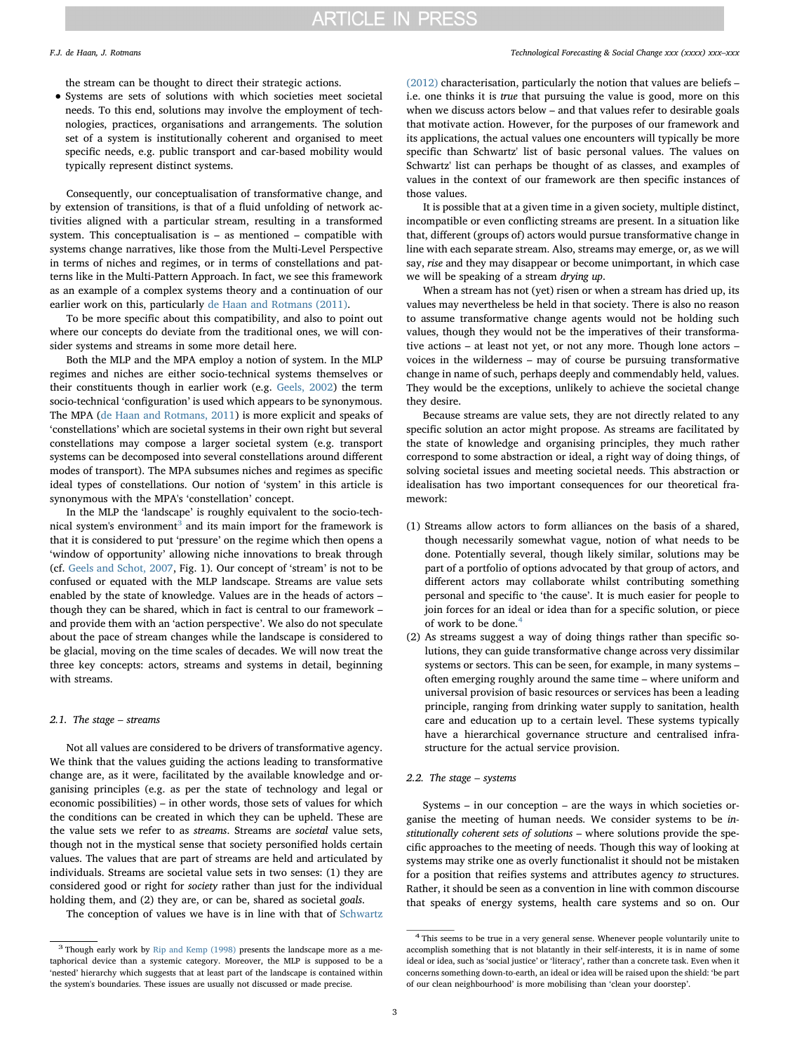the stream can be thought to direct their strategic actions.

• Systems are sets of solutions with which societies meet societal needs. To this end, solutions may involve the employment of technologies, practices, organisations and arrangements. The solution set of a system is institutionally coherent and organised to meet specific needs, e.g. public transport and car-based mobility would typically represent distinct systems.

Consequently, our conceptualisation of transformative change, and by extension of transitions, is that of a fluid unfolding of network activities aligned with a particular stream, resulting in a transformed system. This conceptualisation is – as mentioned – compatible with systems change narratives, like those from the Multi-Level Perspective in terms of niches and regimes, or in terms of constellations and patterns like in the Multi-Pattern Approach. In fact, we see this framework as an example of a complex systems theory and a continuation of our earlier work on this, particularly [de Haan and Rotmans \(2011\)](#page-10-5).

To be more specific about this compatibility, and also to point out where our concepts do deviate from the traditional ones, we will consider systems and streams in some more detail here.

Both the MLP and the MPA employ a notion of system. In the MLP regimes and niches are either socio-technical systems themselves or their constituents though in earlier work (e.g. [Geels, 2002](#page-10-1)) the term socio-technical 'configuration' is used which appears to be synonymous. The MPA [\(de Haan and Rotmans, 2011](#page-10-5)) is more explicit and speaks of 'constellations' which are societal systems in their own right but several constellations may compose a larger societal system (e.g. transport systems can be decomposed into several constellations around different modes of transport). The MPA subsumes niches and regimes as specific ideal types of constellations. Our notion of 'system' in this article is synonymous with the MPA's 'constellation' concept.

In the MLP the 'landscape' is roughly equivalent to the socio-tech-nical system's environment<sup>[3](#page-2-0)</sup> and its main import for the framework is that it is considered to put 'pressure' on the regime which then opens a 'window of opportunity' allowing niche innovations to break through (cf. [Geels and Schot, 2007,](#page-10-12) Fig. 1). Our concept of 'stream' is not to be confused or equated with the MLP landscape. Streams are value sets enabled by the state of knowledge. Values are in the heads of actors – though they can be shared, which in fact is central to our framework – and provide them with an 'action perspective'. We also do not speculate about the pace of stream changes while the landscape is considered to be glacial, moving on the time scales of decades. We will now treat the three key concepts: actors, streams and systems in detail, beginning with streams.

### 2.1. The stage – streams

Not all values are considered to be drivers of transformative agency. We think that the values guiding the actions leading to transformative change are, as it were, facilitated by the available knowledge and organising principles (e.g. as per the state of technology and legal or economic possibilities) – in other words, those sets of values for which the conditions can be created in which they can be upheld. These are the value sets we refer to as streams. Streams are societal value sets, though not in the mystical sense that society personified holds certain values. The values that are part of streams are held and articulated by individuals. Streams are societal value sets in two senses: (1) they are considered good or right for society rather than just for the individual holding them, and (2) they are, or can be, shared as societal goals.

The conception of values we have is in line with that of [Schwartz](#page-11-7)

### F.J. de Haan, J. Rotmans *Technological Forecasting & Social Change xxx (xxxx) xxx–xxx*

[\(2012\)](#page-11-7) characterisation, particularly the notion that values are beliefs – i.e. one thinks it is true that pursuing the value is good, more on this when we discuss actors below – and that values refer to desirable goals that motivate action. However, for the purposes of our framework and its applications, the actual values one encounters will typically be more specific than Schwartz' list of basic personal values. The values on Schwartz' list can perhaps be thought of as classes, and examples of values in the context of our framework are then specific instances of those values.

It is possible that at a given time in a given society, multiple distinct, incompatible or even conflicting streams are present. In a situation like that, different (groups of) actors would pursue transformative change in line with each separate stream. Also, streams may emerge, or, as we will say, rise and they may disappear or become unimportant, in which case we will be speaking of a stream drying up.

When a stream has not (yet) risen or when a stream has dried up, its values may nevertheless be held in that society. There is also no reason to assume transformative change agents would not be holding such values, though they would not be the imperatives of their transformative actions – at least not yet, or not any more. Though lone actors – voices in the wilderness – may of course be pursuing transformative change in name of such, perhaps deeply and commendably held, values. They would be the exceptions, unlikely to achieve the societal change they desire.

Because streams are value sets, they are not directly related to any specific solution an actor might propose. As streams are facilitated by the state of knowledge and organising principles, they much rather correspond to some abstraction or ideal, a right way of doing things, of solving societal issues and meeting societal needs. This abstraction or idealisation has two important consequences for our theoretical framework:

- (1) Streams allow actors to form alliances on the basis of a shared, though necessarily somewhat vague, notion of what needs to be done. Potentially several, though likely similar, solutions may be part of a portfolio of options advocated by that group of actors, and different actors may collaborate whilst contributing something personal and specific to 'the cause'. It is much easier for people to join forces for an ideal or idea than for a specific solution, or piece of work to be done.<sup>[4](#page-2-1)</sup>
- (2) As streams suggest a way of doing things rather than specific solutions, they can guide transformative change across very dissimilar systems or sectors. This can be seen, for example, in many systems – often emerging roughly around the same time – where uniform and universal provision of basic resources or services has been a leading principle, ranging from drinking water supply to sanitation, health care and education up to a certain level. These systems typically have a hierarchical governance structure and centralised infrastructure for the actual service provision.

### 2.2. The stage – systems

Systems – in our conception – are the ways in which societies organise the meeting of human needs. We consider systems to be institutionally coherent sets of solutions – where solutions provide the specific approaches to the meeting of needs. Though this way of looking at systems may strike one as overly functionalist it should not be mistaken for a position that reifies systems and attributes agency to structures. Rather, it should be seen as a convention in line with common discourse that speaks of energy systems, health care systems and so on. Our

<span id="page-2-0"></span><sup>3</sup> Though early work by [Rip and Kemp \(1998\)](#page-11-8) presents the landscape more as a metaphorical device than a systemic category. Moreover, the MLP is supposed to be a 'nested' hierarchy which suggests that at least part of the landscape is contained within the system's boundaries. These issues are usually not discussed or made precise.

<span id="page-2-1"></span><sup>4</sup> This seems to be true in a very general sense. Whenever people voluntarily unite to accomplish something that is not blatantly in their self-interests, it is in name of some ideal or idea, such as 'social justice' or 'literacy', rather than a concrete task. Even when it concerns something down-to-earth, an ideal or idea will be raised upon the shield: 'be part of our clean neighbourhood' is more mobilising than 'clean your doorstep'.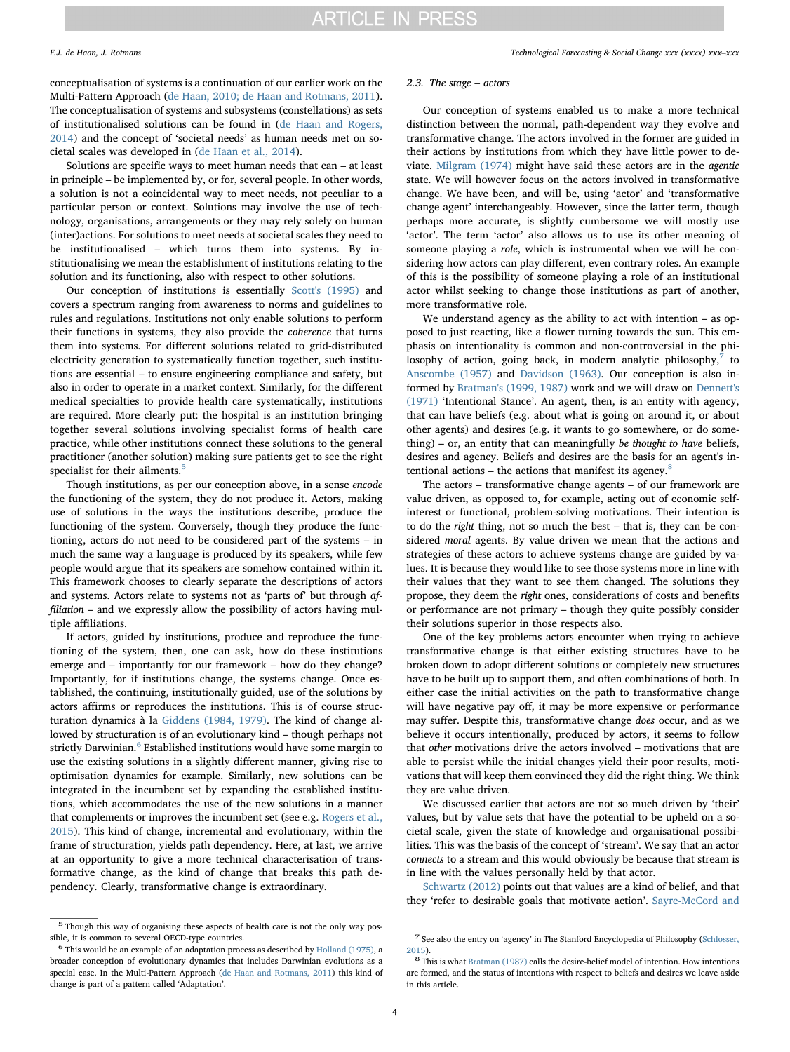F.J. de Haan, J. Rotmans *Technological Forecasting & Social Change xxx (xxxx) xxx–xxx*

conceptualisation of systems is a continuation of our earlier work on the Multi-Pattern Approach ([de Haan, 2010; de Haan and Rotmans, 2011](#page-10-13)). The conceptualisation of systems and subsystems (constellations) as sets of institutionalised solutions can be found in ([de Haan and Rogers,](#page-10-14) [2014\)](#page-10-14) and the concept of 'societal needs' as human needs met on societal scales was developed in ([de Haan et al., 2014\)](#page-10-15).

Solutions are specific ways to meet human needs that can – at least in principle – be implemented by, or for, several people. In other words, a solution is not a coincidental way to meet needs, not peculiar to a particular person or context. Solutions may involve the use of technology, organisations, arrangements or they may rely solely on human (inter)actions. For solutions to meet needs at societal scales they need to be institutionalised – which turns them into systems. By institutionalising we mean the establishment of institutions relating to the solution and its functioning, also with respect to other solutions.

Our conception of institutions is essentially [Scott's \(1995\)](#page-11-9) and covers a spectrum ranging from awareness to norms and guidelines to rules and regulations. Institutions not only enable solutions to perform their functions in systems, they also provide the coherence that turns them into systems. For different solutions related to grid-distributed electricity generation to systematically function together, such institutions are essential – to ensure engineering compliance and safety, but also in order to operate in a market context. Similarly, for the different medical specialties to provide health care systematically, institutions are required. More clearly put: the hospital is an institution bringing together several solutions involving specialist forms of health care practice, while other institutions connect these solutions to the general practitioner (another solution) making sure patients get to see the right specialist for their ailments.<sup>[5](#page-3-0)</sup>

Though institutions, as per our conception above, in a sense encode the functioning of the system, they do not produce it. Actors, making use of solutions in the ways the institutions describe, produce the functioning of the system. Conversely, though they produce the functioning, actors do not need to be considered part of the systems – in much the same way a language is produced by its speakers, while few people would argue that its speakers are somehow contained within it. This framework chooses to clearly separate the descriptions of actors and systems. Actors relate to systems not as 'parts of' but through affiliation – and we expressly allow the possibility of actors having multiple affiliations.

If actors, guided by institutions, produce and reproduce the functioning of the system, then, one can ask, how do these institutions emerge and – importantly for our framework – how do they change? Importantly, for if institutions change, the systems change. Once established, the continuing, institutionally guided, use of the solutions by actors affirms or reproduces the institutions. This is of course structuration dynamics à la [Giddens \(1984, 1979\)](#page-10-16). The kind of change allowed by structuration is of an evolutionary kind – though perhaps not strictly Darwinian.<sup>6</sup> Established institutions would have some margin to use the existing solutions in a slightly different manner, giving rise to optimisation dynamics for example. Similarly, new solutions can be integrated in the incumbent set by expanding the established institutions, which accommodates the use of the new solutions in a manner that complements or improves the incumbent set (see e.g. [Rogers et al.,](#page-11-10) [2015\)](#page-11-10). This kind of change, incremental and evolutionary, within the frame of structuration, yields path dependency. Here, at last, we arrive at an opportunity to give a more technical characterisation of transformative change, as the kind of change that breaks this path dependency. Clearly, transformative change is extraordinary.

### 2.3. The stage – actors

Our conception of systems enabled us to make a more technical distinction between the normal, path-dependent way they evolve and transformative change. The actors involved in the former are guided in their actions by institutions from which they have little power to deviate. [Milgram \(1974\)](#page-11-11) might have said these actors are in the agentic state. We will however focus on the actors involved in transformative change. We have been, and will be, using 'actor' and 'transformative change agent' interchangeably. However, since the latter term, though perhaps more accurate, is slightly cumbersome we will mostly use 'actor'. The term 'actor' also allows us to use its other meaning of someone playing a role, which is instrumental when we will be considering how actors can play different, even contrary roles. An example of this is the possibility of someone playing a role of an institutional actor whilst seeking to change those institutions as part of another, more transformative role.

We understand agency as the ability to act with intention – as opposed to just reacting, like a flower turning towards the sun. This emphasis on intentionality is common and non-controversial in the philosophy of action, going back, in modern analytic philosophy, $\bar{y}$  to [Anscombe \(1957\)](#page-10-17) and [Davidson \(1963\)](#page-10-18). Our conception is also informed by [Bratman's \(1999, 1987\)](#page-10-19) work and we will draw on [Dennett's](#page-10-20) [\(1971\)](#page-10-20) 'Intentional Stance'. An agent, then, is an entity with agency, that can have beliefs (e.g. about what is going on around it, or about other agents) and desires (e.g. it wants to go somewhere, or do something) – or, an entity that can meaningfully be thought to have beliefs, desires and agency. Beliefs and desires are the basis for an agent's intentional actions – the actions that manifest its agency. $8$ 

The actors – transformative change agents – of our framework are value driven, as opposed to, for example, acting out of economic selfinterest or functional, problem-solving motivations. Their intention is to do the right thing, not so much the best – that is, they can be considered moral agents. By value driven we mean that the actions and strategies of these actors to achieve systems change are guided by values. It is because they would like to see those systems more in line with their values that they want to see them changed. The solutions they propose, they deem the right ones, considerations of costs and benefits or performance are not primary – though they quite possibly consider their solutions superior in those respects also.

One of the key problems actors encounter when trying to achieve transformative change is that either existing structures have to be broken down to adopt different solutions or completely new structures have to be built up to support them, and often combinations of both. In either case the initial activities on the path to transformative change will have negative pay off, it may be more expensive or performance may suffer. Despite this, transformative change does occur, and as we believe it occurs intentionally, produced by actors, it seems to follow that other motivations drive the actors involved – motivations that are able to persist while the initial changes yield their poor results, motivations that will keep them convinced they did the right thing. We think they are value driven.

We discussed earlier that actors are not so much driven by 'their' values, but by value sets that have the potential to be upheld on a societal scale, given the state of knowledge and organisational possibilities. This was the basis of the concept of 'stream'. We say that an actor connects to a stream and this would obviously be because that stream is in line with the values personally held by that actor.

[Schwartz \(2012\)](#page-11-7) points out that values are a kind of belief, and that they 'refer to desirable goals that motivate action'. [Sayre-McCord and](#page-11-12)

<span id="page-3-0"></span> $^{\rm 5}$  Though this way of organising these aspects of health care is not the only way possible, it is common to several OECD-type countries.  $\degree$  This would be an example of an adaptation process as described by [Holland \(1975\),](#page-10-21) a

<span id="page-3-1"></span>broader conception of evolutionary dynamics that includes Darwinian evolutions as a special case. In the Multi-Pattern Approach ([de Haan and Rotmans, 2011](#page-10-5)) this kind of change is part of a pattern called 'Adaptation'.

<span id="page-3-2"></span> $\overline{7}$  See also the entry on 'agency' in The Stanford Encyclopedia of Philosophy ([Schlosser,](#page-11-13) [2015\)](#page-11-13). <sup>8</sup> This is what [Bratman \(1987\)](#page-10-22) calls the desire-belief model of intention. How intentions

<span id="page-3-3"></span>are formed, and the status of intentions with respect to beliefs and desires we leave aside in this article.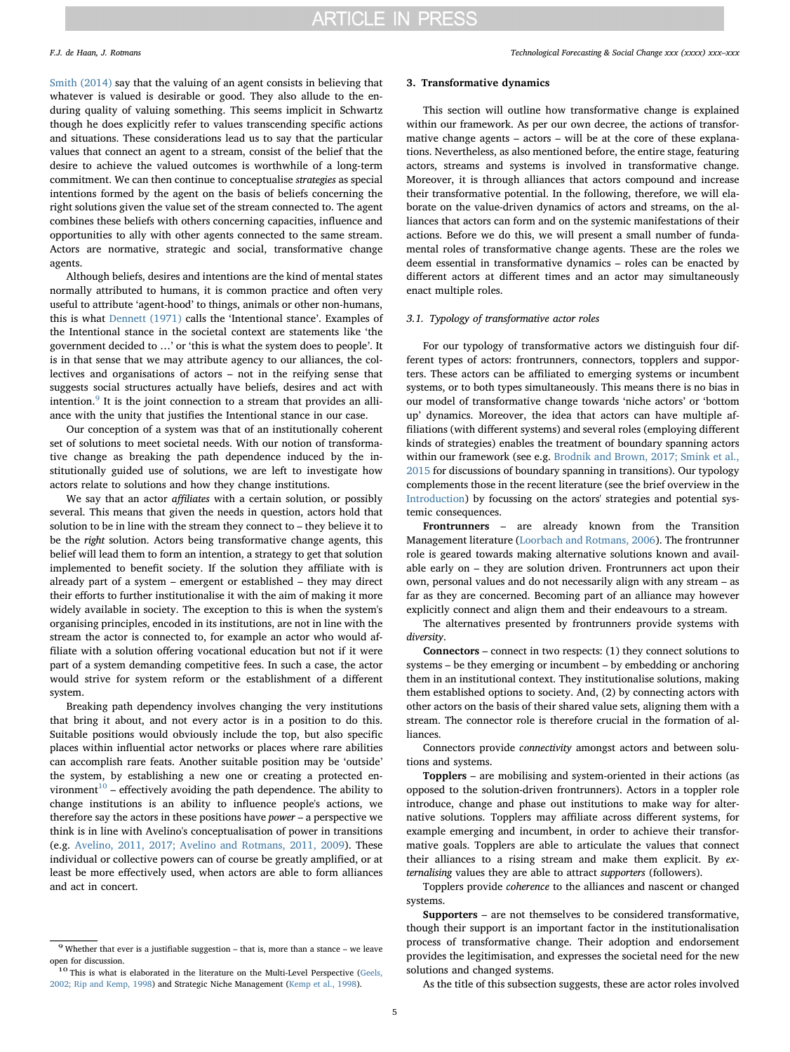[Smith \(2014\)](#page-11-12) say that the valuing of an agent consists in believing that whatever is valued is desirable or good. They also allude to the enduring quality of valuing something. This seems implicit in Schwartz though he does explicitly refer to values transcending specific actions and situations. These considerations lead us to say that the particular values that connect an agent to a stream, consist of the belief that the desire to achieve the valued outcomes is worthwhile of a long-term commitment. We can then continue to conceptualise strategies as special intentions formed by the agent on the basis of beliefs concerning the right solutions given the value set of the stream connected to. The agent combines these beliefs with others concerning capacities, influence and opportunities to ally with other agents connected to the same stream. Actors are normative, strategic and social, transformative change agents.

Although beliefs, desires and intentions are the kind of mental states normally attributed to humans, it is common practice and often very useful to attribute 'agent-hood' to things, animals or other non-humans, this is what [Dennett \(1971\)](#page-10-20) calls the 'Intentional stance'. Examples of the Intentional stance in the societal context are statements like 'the government decided to …' or 'this is what the system does to people'. It is in that sense that we may attribute agency to our alliances, the collectives and organisations of actors – not in the reifying sense that suggests social structures actually have beliefs, desires and act with intention.<sup>[9](#page-4-0)</sup> It is the joint connection to a stream that provides an alliance with the unity that justifies the Intentional stance in our case.

Our conception of a system was that of an institutionally coherent set of solutions to meet societal needs. With our notion of transformative change as breaking the path dependence induced by the institutionally guided use of solutions, we are left to investigate how actors relate to solutions and how they change institutions.

We say that an actor affiliates with a certain solution, or possibly several. This means that given the needs in question, actors hold that solution to be in line with the stream they connect to – they believe it to be the right solution. Actors being transformative change agents, this belief will lead them to form an intention, a strategy to get that solution implemented to benefit society. If the solution they affiliate with is already part of a system – emergent or established – they may direct their efforts to further institutionalise it with the aim of making it more widely available in society. The exception to this is when the system's organising principles, encoded in its institutions, are not in line with the stream the actor is connected to, for example an actor who would affiliate with a solution offering vocational education but not if it were part of a system demanding competitive fees. In such a case, the actor would strive for system reform or the establishment of a different system.

Breaking path dependency involves changing the very institutions that bring it about, and not every actor is in a position to do this. Suitable positions would obviously include the top, but also specific places within influential actor networks or places where rare abilities can accomplish rare feats. Another suitable position may be 'outside' the system, by establishing a new one or creating a protected environment $^{10}$  $^{10}$  $^{10}$  – effectively avoiding the path dependence. The ability to change institutions is an ability to influence people's actions, we therefore say the actors in these positions have power – a perspective we think is in line with Avelino's conceptualisation of power in transitions (e.g. [Avelino, 2011, 2017; Avelino and Rotmans, 2011, 2009\)](#page-10-23). These individual or collective powers can of course be greatly amplified, or at least be more effectively used, when actors are able to form alliances and act in concert.

### 3. Transformative dynamics

This section will outline how transformative change is explained within our framework. As per our own decree, the actions of transformative change agents – actors – will be at the core of these explanations. Nevertheless, as also mentioned before, the entire stage, featuring actors, streams and systems is involved in transformative change. Moreover, it is through alliances that actors compound and increase their transformative potential. In the following, therefore, we will elaborate on the value-driven dynamics of actors and streams, on the alliances that actors can form and on the systemic manifestations of their actions. Before we do this, we will present a small number of fundamental roles of transformative change agents. These are the roles we deem essential in transformative dynamics – roles can be enacted by different actors at different times and an actor may simultaneously enact multiple roles.

### 3.1. Typology of transformative actor roles

For our typology of transformative actors we distinguish four different types of actors: frontrunners, connectors, topplers and supporters. These actors can be affiliated to emerging systems or incumbent systems, or to both types simultaneously. This means there is no bias in our model of transformative change towards 'niche actors' or 'bottom up' dynamics. Moreover, the idea that actors can have multiple affiliations (with different systems) and several roles (employing different kinds of strategies) enables the treatment of boundary spanning actors within our framework (see e.g. [Brodnik and Brown, 2017; Smink et al.,](#page-10-24) [2015](#page-10-24) for discussions of boundary spanning in transitions). Our typology complements those in the recent literature (see the brief overview in the [Introduction\)](#page-0-4) by focussing on the actors' strategies and potential systemic consequences.

Frontrunners – are already known from the Transition Management literature ([Loorbach and Rotmans, 2006](#page-11-14)). The frontrunner role is geared towards making alternative solutions known and available early on – they are solution driven. Frontrunners act upon their own, personal values and do not necessarily align with any stream – as far as they are concerned. Becoming part of an alliance may however explicitly connect and align them and their endeavours to a stream.

The alternatives presented by frontrunners provide systems with diversity.

Connectors – connect in two respects: (1) they connect solutions to systems – be they emerging or incumbent – by embedding or anchoring them in an institutional context. They institutionalise solutions, making them established options to society. And, (2) by connecting actors with other actors on the basis of their shared value sets, aligning them with a stream. The connector role is therefore crucial in the formation of alliances.

Connectors provide connectivity amongst actors and between solutions and systems.

Topplers – are mobilising and system-oriented in their actions (as opposed to the solution-driven frontrunners). Actors in a toppler role introduce, change and phase out institutions to make way for alternative solutions. Topplers may affiliate across different systems, for example emerging and incumbent, in order to achieve their transformative goals. Topplers are able to articulate the values that connect their alliances to a rising stream and make them explicit. By externalising values they are able to attract supporters (followers).

Topplers provide coherence to the alliances and nascent or changed systems.

Supporters – are not themselves to be considered transformative, though their support is an important factor in the institutionalisation process of transformative change. Their adoption and endorsement provides the legitimisation, and expresses the societal need for the new solutions and changed systems.

As the title of this subsection suggests, these are actor roles involved

<span id="page-4-0"></span> $^9$  Whether that ever is a justifiable suggestion – that is, more than a stance – we leave open for discussion.

<span id="page-4-1"></span> $10$  This is what is elaborated in the literature on the Multi-Level Perspective ([Geels,](#page-10-1) [2002; Rip and Kemp, 1998\)](#page-10-1) and Strategic Niche Management [\(Kemp et al., 1998](#page-10-3)).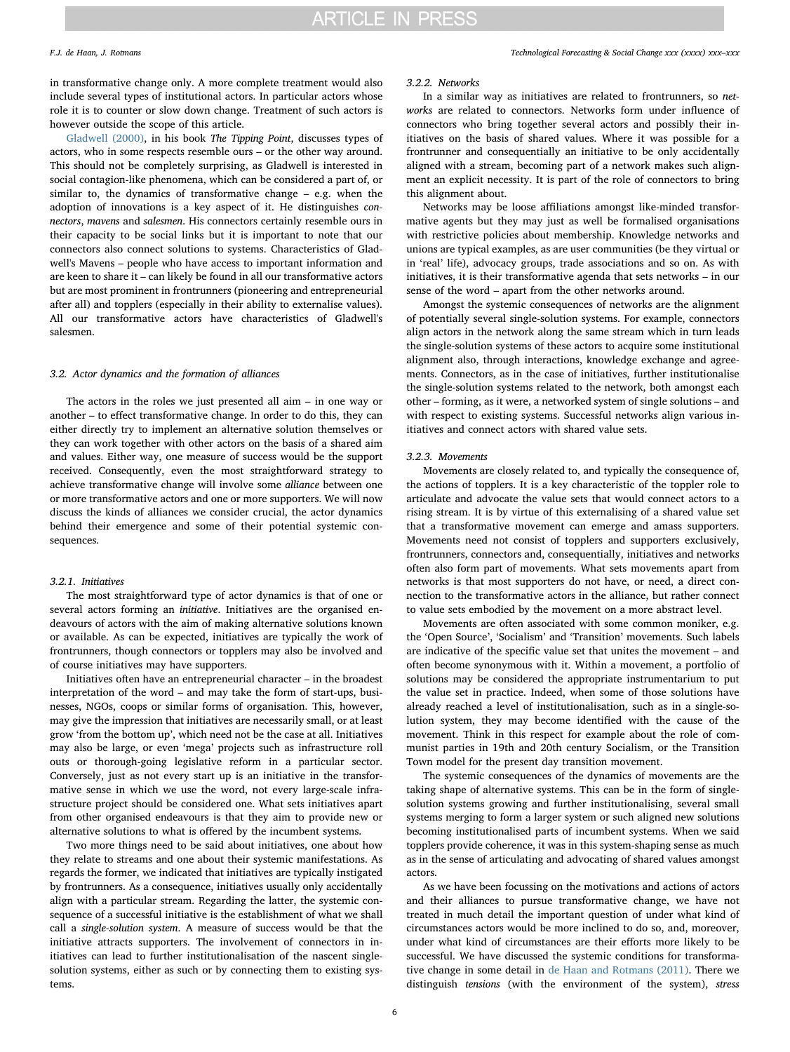in transformative change only. A more complete treatment would also include several types of institutional actors. In particular actors whose role it is to counter or slow down change. Treatment of such actors is however outside the scope of this article.

[Gladwell \(2000\),](#page-10-25) in his book The Tipping Point, discusses types of actors, who in some respects resemble ours – or the other way around. This should not be completely surprising, as Gladwell is interested in social contagion-like phenomena, which can be considered a part of, or similar to, the dynamics of transformative change – e.g. when the adoption of innovations is a key aspect of it. He distinguishes connectors, mavens and salesmen. His connectors certainly resemble ours in their capacity to be social links but it is important to note that our connectors also connect solutions to systems. Characteristics of Gladwell's Mavens – people who have access to important information and are keen to share it – can likely be found in all our transformative actors but are most prominent in frontrunners (pioneering and entrepreneurial after all) and topplers (especially in their ability to externalise values). All our transformative actors have characteristics of Gladwell's salesmen.

### 3.2. Actor dynamics and the formation of alliances

The actors in the roles we just presented all aim – in one way or another – to effect transformative change. In order to do this, they can either directly try to implement an alternative solution themselves or they can work together with other actors on the basis of a shared aim and values. Either way, one measure of success would be the support received. Consequently, even the most straightforward strategy to achieve transformative change will involve some alliance between one or more transformative actors and one or more supporters. We will now discuss the kinds of alliances we consider crucial, the actor dynamics behind their emergence and some of their potential systemic consequences.

### 3.2.1. Initiatives

The most straightforward type of actor dynamics is that of one or several actors forming an initiative. Initiatives are the organised endeavours of actors with the aim of making alternative solutions known or available. As can be expected, initiatives are typically the work of frontrunners, though connectors or topplers may also be involved and of course initiatives may have supporters.

Initiatives often have an entrepreneurial character – in the broadest interpretation of the word – and may take the form of start-ups, businesses, NGOs, coops or similar forms of organisation. This, however, may give the impression that initiatives are necessarily small, or at least grow 'from the bottom up', which need not be the case at all. Initiatives may also be large, or even 'mega' projects such as infrastructure roll outs or thorough-going legislative reform in a particular sector. Conversely, just as not every start up is an initiative in the transformative sense in which we use the word, not every large-scale infrastructure project should be considered one. What sets initiatives apart from other organised endeavours is that they aim to provide new or alternative solutions to what is offered by the incumbent systems.

Two more things need to be said about initiatives, one about how they relate to streams and one about their systemic manifestations. As regards the former, we indicated that initiatives are typically instigated by frontrunners. As a consequence, initiatives usually only accidentally align with a particular stream. Regarding the latter, the systemic consequence of a successful initiative is the establishment of what we shall call a single-solution system. A measure of success would be that the initiative attracts supporters. The involvement of connectors in initiatives can lead to further institutionalisation of the nascent singlesolution systems, either as such or by connecting them to existing systems.

### 3.2.2. Networks

In a similar way as initiatives are related to frontrunners, so networks are related to connectors. Networks form under influence of connectors who bring together several actors and possibly their initiatives on the basis of shared values. Where it was possible for a frontrunner and consequentially an initiative to be only accidentally aligned with a stream, becoming part of a network makes such alignment an explicit necessity. It is part of the role of connectors to bring this alignment about.

Networks may be loose affiliations amongst like-minded transformative agents but they may just as well be formalised organisations with restrictive policies about membership. Knowledge networks and unions are typical examples, as are user communities (be they virtual or in 'real' life), advocacy groups, trade associations and so on. As with initiatives, it is their transformative agenda that sets networks – in our sense of the word – apart from the other networks around.

Amongst the systemic consequences of networks are the alignment of potentially several single-solution systems. For example, connectors align actors in the network along the same stream which in turn leads the single-solution systems of these actors to acquire some institutional alignment also, through interactions, knowledge exchange and agreements. Connectors, as in the case of initiatives, further institutionalise the single-solution systems related to the network, both amongst each other – forming, as it were, a networked system of single solutions – and with respect to existing systems. Successful networks align various initiatives and connect actors with shared value sets.

### 3.2.3. Movements

Movements are closely related to, and typically the consequence of, the actions of topplers. It is a key characteristic of the toppler role to articulate and advocate the value sets that would connect actors to a rising stream. It is by virtue of this externalising of a shared value set that a transformative movement can emerge and amass supporters. Movements need not consist of topplers and supporters exclusively, frontrunners, connectors and, consequentially, initiatives and networks often also form part of movements. What sets movements apart from networks is that most supporters do not have, or need, a direct connection to the transformative actors in the alliance, but rather connect to value sets embodied by the movement on a more abstract level.

Movements are often associated with some common moniker, e.g. the 'Open Source', 'Socialism' and 'Transition' movements. Such labels are indicative of the specific value set that unites the movement – and often become synonymous with it. Within a movement, a portfolio of solutions may be considered the appropriate instrumentarium to put the value set in practice. Indeed, when some of those solutions have already reached a level of institutionalisation, such as in a single-solution system, they may become identified with the cause of the movement. Think in this respect for example about the role of communist parties in 19th and 20th century Socialism, or the Transition Town model for the present day transition movement.

The systemic consequences of the dynamics of movements are the taking shape of alternative systems. This can be in the form of singlesolution systems growing and further institutionalising, several small systems merging to form a larger system or such aligned new solutions becoming institutionalised parts of incumbent systems. When we said topplers provide coherence, it was in this system-shaping sense as much as in the sense of articulating and advocating of shared values amongst actors.

As we have been focussing on the motivations and actions of actors and their alliances to pursue transformative change, we have not treated in much detail the important question of under what kind of circumstances actors would be more inclined to do so, and, moreover, under what kind of circumstances are their efforts more likely to be successful. We have discussed the systemic conditions for transformative change in some detail in de [Haan and Rotmans \(2011\)](#page-10-5). There we distinguish tensions (with the environment of the system), stress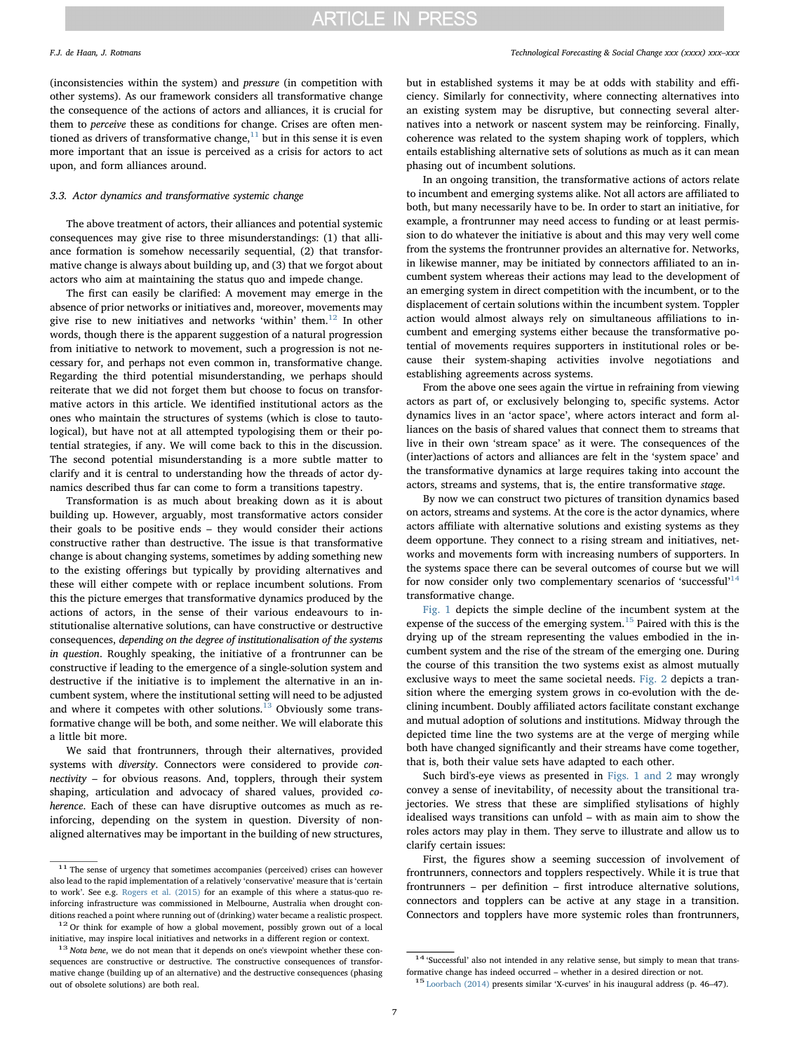F.J. de Haan, J. Rotmans *Technological Forecasting & Social Change xxx (xxxx) xxx–xxx*

(inconsistencies within the system) and pressure (in competition with other systems). As our framework considers all transformative change the consequence of the actions of actors and alliances, it is crucial for them to perceive these as conditions for change. Crises are often mentioned as drivers of transformative change, $11$  but in this sense it is even more important that an issue is perceived as a crisis for actors to act upon, and form alliances around.

### 3.3. Actor dynamics and transformative systemic change

The above treatment of actors, their alliances and potential systemic consequences may give rise to three misunderstandings: (1) that alliance formation is somehow necessarily sequential, (2) that transformative change is always about building up, and (3) that we forgot about actors who aim at maintaining the status quo and impede change.

The first can easily be clarified: A movement may emerge in the absence of prior networks or initiatives and, moreover, movements may give rise to new initiatives and networks 'within' them.[12](#page-6-1) In other words, though there is the apparent suggestion of a natural progression from initiative to network to movement, such a progression is not necessary for, and perhaps not even common in, transformative change. Regarding the third potential misunderstanding, we perhaps should reiterate that we did not forget them but choose to focus on transformative actors in this article. We identified institutional actors as the ones who maintain the structures of systems (which is close to tautological), but have not at all attempted typologising them or their potential strategies, if any. We will come back to this in the discussion. The second potential misunderstanding is a more subtle matter to clarify and it is central to understanding how the threads of actor dynamics described thus far can come to form a transitions tapestry.

Transformation is as much about breaking down as it is about building up. However, arguably, most transformative actors consider their goals to be positive ends – they would consider their actions constructive rather than destructive. The issue is that transformative change is about changing systems, sometimes by adding something new to the existing offerings but typically by providing alternatives and these will either compete with or replace incumbent solutions. From this the picture emerges that transformative dynamics produced by the actions of actors, in the sense of their various endeavours to institutionalise alternative solutions, can have constructive or destructive consequences, depending on the degree of institutionalisation of the systems in question. Roughly speaking, the initiative of a frontrunner can be constructive if leading to the emergence of a single-solution system and destructive if the initiative is to implement the alternative in an incumbent system, where the institutional setting will need to be adjusted and where it competes with other solutions. $13$  Obviously some transformative change will be both, and some neither. We will elaborate this a little bit more.

We said that frontrunners, through their alternatives, provided systems with diversity. Connectors were considered to provide connectivity – for obvious reasons. And, topplers, through their system shaping, articulation and advocacy of shared values, provided coherence. Each of these can have disruptive outcomes as much as reinforcing, depending on the system in question. Diversity of nonaligned alternatives may be important in the building of new structures,

<span id="page-6-1"></span>initiative, may inspire local initiatives and networks in a different region or context.<br> $13$  Nota bene, we do not mean that it depends on one's viewpoint whether these con-

but in established systems it may be at odds with stability and efficiency. Similarly for connectivity, where connecting alternatives into an existing system may be disruptive, but connecting several alternatives into a network or nascent system may be reinforcing. Finally, coherence was related to the system shaping work of topplers, which entails establishing alternative sets of solutions as much as it can mean phasing out of incumbent solutions.

In an ongoing transition, the transformative actions of actors relate to incumbent and emerging systems alike. Not all actors are affiliated to both, but many necessarily have to be. In order to start an initiative, for example, a frontrunner may need access to funding or at least permission to do whatever the initiative is about and this may very well come from the systems the frontrunner provides an alternative for. Networks, in likewise manner, may be initiated by connectors affiliated to an incumbent system whereas their actions may lead to the development of an emerging system in direct competition with the incumbent, or to the displacement of certain solutions within the incumbent system. Toppler action would almost always rely on simultaneous affiliations to incumbent and emerging systems either because the transformative potential of movements requires supporters in institutional roles or because their system-shaping activities involve negotiations and establishing agreements across systems.

From the above one sees again the virtue in refraining from viewing actors as part of, or exclusively belonging to, specific systems. Actor dynamics lives in an 'actor space', where actors interact and form alliances on the basis of shared values that connect them to streams that live in their own 'stream space' as it were. The consequences of the (inter)actions of actors and alliances are felt in the 'system space' and the transformative dynamics at large requires taking into account the actors, streams and systems, that is, the entire transformative stage.

By now we can construct two pictures of transition dynamics based on actors, streams and systems. At the core is the actor dynamics, where actors affiliate with alternative solutions and existing systems as they deem opportune. They connect to a rising stream and initiatives, networks and movements form with increasing numbers of supporters. In the systems space there can be several outcomes of course but we will for now consider only two complementary scenarios of 'successful'<sup>[14](#page-6-3)</sup> transformative change.

[Fig. 1](#page-7-0) depicts the simple decline of the incumbent system at the expense of the success of the emerging system.[15](#page-6-4) Paired with this is the drying up of the stream representing the values embodied in the incumbent system and the rise of the stream of the emerging one. During the course of this transition the two systems exist as almost mutually exclusive ways to meet the same societal needs. [Fig. 2](#page-8-0) depicts a transition where the emerging system grows in co-evolution with the declining incumbent. Doubly affiliated actors facilitate constant exchange and mutual adoption of solutions and institutions. Midway through the depicted time line the two systems are at the verge of merging while both have changed significantly and their streams have come together, that is, both their value sets have adapted to each other.

Such bird's-eye views as presented in [Figs. 1 and 2](#page-7-0) may wrongly convey a sense of inevitability, of necessity about the transitional trajectories. We stress that these are simplified stylisations of highly idealised ways transitions can unfold – with as main aim to show the roles actors may play in them. They serve to illustrate and allow us to clarify certain issues:

First, the figures show a seeming succession of involvement of frontrunners, connectors and topplers respectively. While it is true that frontrunners – per definition – first introduce alternative solutions, connectors and topplers can be active at any stage in a transition. Connectors and topplers have more systemic roles than frontrunners,

<span id="page-6-0"></span><sup>&</sup>lt;sup>11</sup> The sense of urgency that sometimes accompanies (perceived) crises can however also lead to the rapid implementation of a relatively 'conservative' measure that is 'certain to work'. See e.g. [Rogers et al. \(2015\)](#page-11-10) for an example of this where a status-quo reinforcing infrastructure was commissioned in Melbourne, Australia when drought conditions reached a point where running out of (drinking) water became a realistic prospect.  $12$  Or think for example of how a global movement, possibly grown out of a local

<span id="page-6-2"></span>sequences are constructive or destructive. The constructive consequences of transformative change (building up of an alternative) and the destructive consequences (phasing out of obsolete solutions) are both real.

<span id="page-6-3"></span> $14$  'Successful' also not intended in any relative sense, but simply to mean that transformative change has indeed occurred – whether in a desired direction or not.

<span id="page-6-4"></span><sup>&</sup>lt;sup>15</sup> [Loorbach \(2014\)](#page-11-6) presents similar 'X-curves' in his inaugural address (p. 46–47).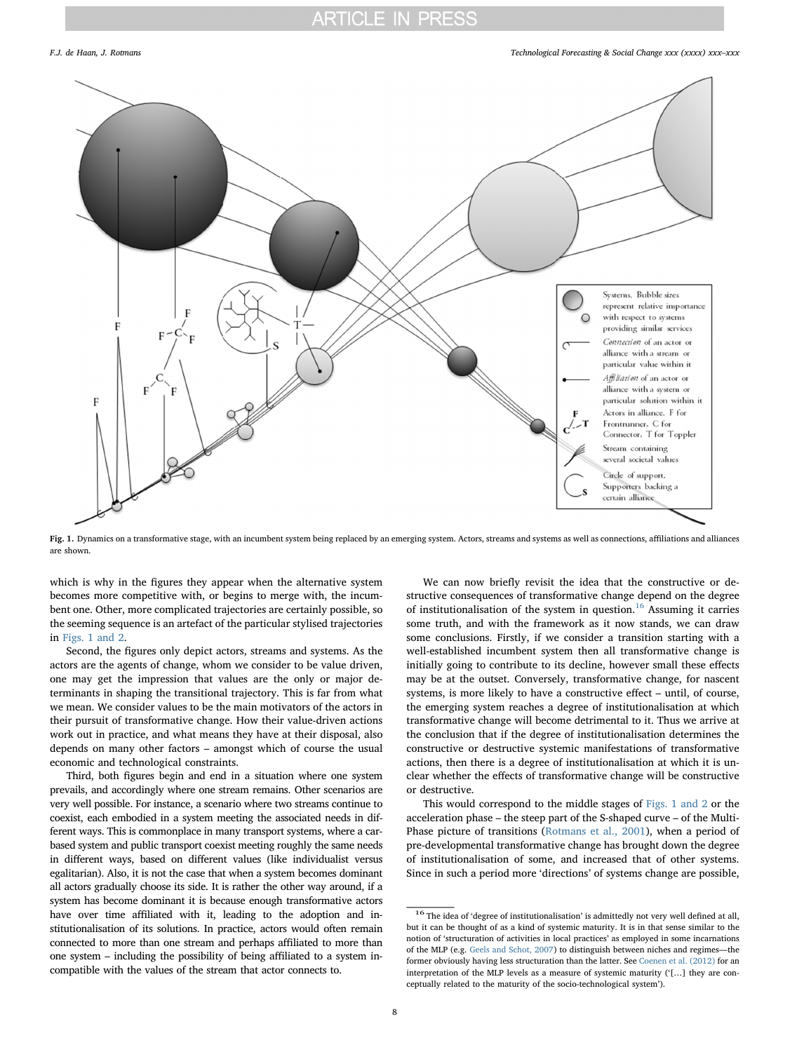### F.J. de Haan, J. Rotmans *Technological Forecasting & Social Change xxx (xxxx) xxx–xxx*

<span id="page-7-0"></span>

Fig. 1. Dynamics on a transformative stage, with an incumbent system being replaced by an emerging system. Actors, streams and systems as well as connections, affiliations and alliances are shown.

which is why in the figures they appear when the alternative system becomes more competitive with, or begins to merge with, the incumbent one. Other, more complicated trajectories are certainly possible, so the seeming sequence is an artefact of the particular stylised trajectories in [Figs. 1 and 2.](#page-7-0)

Second, the figures only depict actors, streams and systems. As the actors are the agents of change, whom we consider to be value driven, one may get the impression that values are the only or major determinants in shaping the transitional trajectory. This is far from what we mean. We consider values to be the main motivators of the actors in their pursuit of transformative change. How their value-driven actions work out in practice, and what means they have at their disposal, also depends on many other factors – amongst which of course the usual economic and technological constraints.

Third, both figures begin and end in a situation where one system prevails, and accordingly where one stream remains. Other scenarios are very well possible. For instance, a scenario where two streams continue to coexist, each embodied in a system meeting the associated needs in different ways. This is commonplace in many transport systems, where a carbased system and public transport coexist meeting roughly the same needs in different ways, based on different values (like individualist versus egalitarian). Also, it is not the case that when a system becomes dominant all actors gradually choose its side. It is rather the other way around, if a system has become dominant it is because enough transformative actors have over time affiliated with it, leading to the adoption and institutionalisation of its solutions. In practice, actors would often remain connected to more than one stream and perhaps affiliated to more than one system – including the possibility of being affiliated to a system incompatible with the values of the stream that actor connects to.

We can now briefly revisit the idea that the constructive or destructive consequences of transformative change depend on the degree of institutionalisation of the system in question.<sup>[16](#page-7-1)</sup> Assuming it carries some truth, and with the framework as it now stands, we can draw some conclusions. Firstly, if we consider a transition starting with a well-established incumbent system then all transformative change is initially going to contribute to its decline, however small these effects may be at the outset. Conversely, transformative change, for nascent systems, is more likely to have a constructive effect – until, of course, the emerging system reaches a degree of institutionalisation at which transformative change will become detrimental to it. Thus we arrive at the conclusion that if the degree of institutionalisation determines the constructive or destructive systemic manifestations of transformative actions, then there is a degree of institutionalisation at which it is unclear whether the effects of transformative change will be constructive or destructive.

This would correspond to the middle stages of [Figs. 1 and 2](#page-7-0) or the acceleration phase – the steep part of the S-shaped curve – of the Multi-Phase picture of transitions [\(Rotmans et al., 2001\)](#page-11-15), when a period of pre-developmental transformative change has brought down the degree of institutionalisation of some, and increased that of other systems. Since in such a period more 'directions' of systems change are possible,

<span id="page-7-1"></span> $^{16}$  The idea of 'degree of institutionalisation' is admittedly not very well defined at all, but it can be thought of as a kind of systemic maturity. It is in that sense similar to the notion of 'structuration of activities in local practices' as employed in some incarnations of the MLP (e.g. [Geels and Schot, 2007](#page-10-12)) to distinguish between niches and regimes—the former obviously having less structuration than the latter. See [Coenen et al. \(2012\)](#page-10-26) for an interpretation of the MLP levels as a measure of systemic maturity ('[…] they are conceptually related to the maturity of the socio-technological system').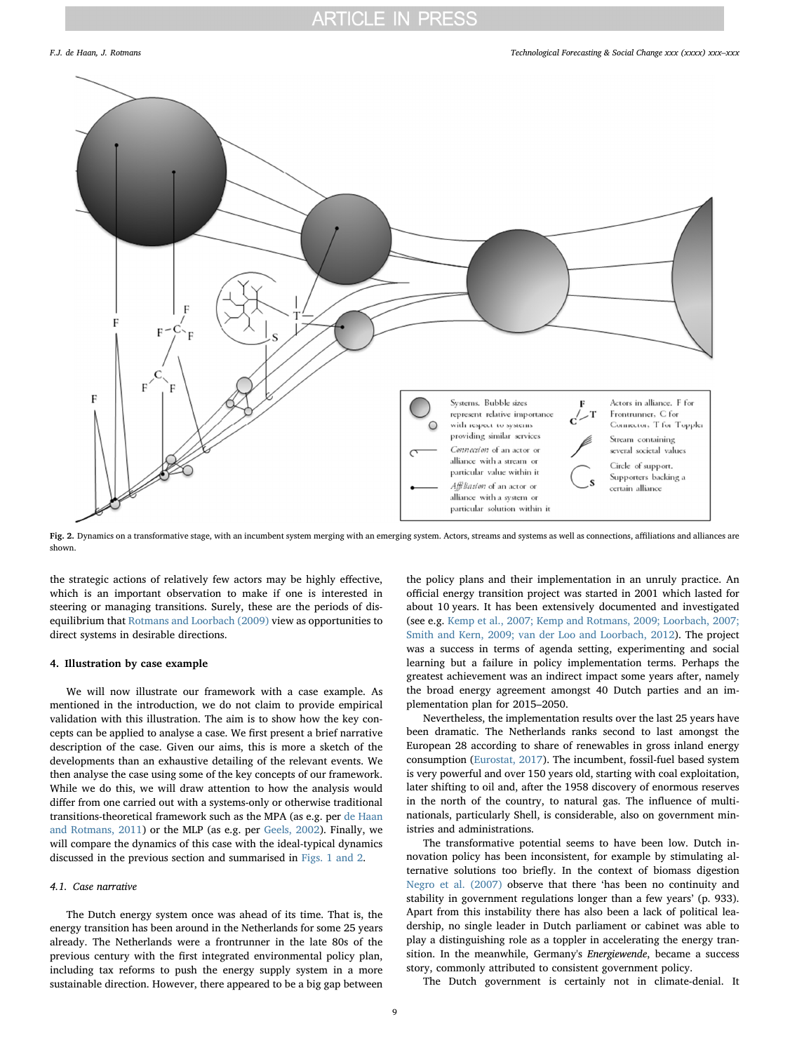<span id="page-8-0"></span>

Fig. 2. Dynamics on a transformative stage, with an incumbent system merging with an emerging system. Actors, streams and systems as well as connections, affiliations and alliances are shown.

the strategic actions of relatively few actors may be highly effective, which is an important observation to make if one is interested in steering or managing transitions. Surely, these are the periods of disequilibrium that [Rotmans and Loorbach \(2009\)](#page-11-16) view as opportunities to direct systems in desirable directions.

### 4. Illustration by case example

We will now illustrate our framework with a case example. As mentioned in the introduction, we do not claim to provide empirical validation with this illustration. The aim is to show how the key concepts can be applied to analyse a case. We first present a brief narrative description of the case. Given our aims, this is more a sketch of the developments than an exhaustive detailing of the relevant events. We then analyse the case using some of the key concepts of our framework. While we do this, we will draw attention to how the analysis would differ from one carried out with a systems-only or otherwise traditional transitions-theoretical framework such as the MPA (as e.g. per [de Haan](#page-10-5) [and Rotmans, 2011](#page-10-5)) or the MLP (as e.g. per [Geels, 2002](#page-10-1)). Finally, we will compare the dynamics of this case with the ideal-typical dynamics discussed in the previous section and summarised in [Figs. 1 and 2.](#page-7-0)

### 4.1. Case narrative

The Dutch energy system once was ahead of its time. That is, the energy transition has been around in the Netherlands for some 25 years already. The Netherlands were a frontrunner in the late 80s of the previous century with the first integrated environmental policy plan, including tax reforms to push the energy supply system in a more sustainable direction. However, there appeared to be a big gap between

the policy plans and their implementation in an unruly practice. An official energy transition project was started in 2001 which lasted for about 10 years. It has been extensively documented and investigated (see e.g. [Kemp et al., 2007; Kemp and Rotmans, 2009; Loorbach, 2007;](#page-10-27) [Smith and Kern, 2009; van der Loo and Loorbach, 2012\)](#page-10-27). The project was a success in terms of agenda setting, experimenting and social learning but a failure in policy implementation terms. Perhaps the greatest achievement was an indirect impact some years after, namely the broad energy agreement amongst 40 Dutch parties and an implementation plan for 2015–2050.

Nevertheless, the implementation results over the last 25 years have been dramatic. The Netherlands ranks second to last amongst the European 28 according to share of renewables in gross inland energy consumption ([Eurostat, 2017](#page-10-28)). The incumbent, fossil-fuel based system is very powerful and over 150 years old, starting with coal exploitation, later shifting to oil and, after the 1958 discovery of enormous reserves in the north of the country, to natural gas. The influence of multinationals, particularly Shell, is considerable, also on government ministries and administrations.

The transformative potential seems to have been low. Dutch innovation policy has been inconsistent, for example by stimulating alternative solutions too briefly. In the context of biomass digestion [Negro et al. \(2007\)](#page-11-17) observe that there 'has been no continuity and stability in government regulations longer than a few years' (p. 933). Apart from this instability there has also been a lack of political leadership, no single leader in Dutch parliament or cabinet was able to play a distinguishing role as a toppler in accelerating the energy transition. In the meanwhile, Germany's Energiewende, became a success story, commonly attributed to consistent government policy.

The Dutch government is certainly not in climate-denial. It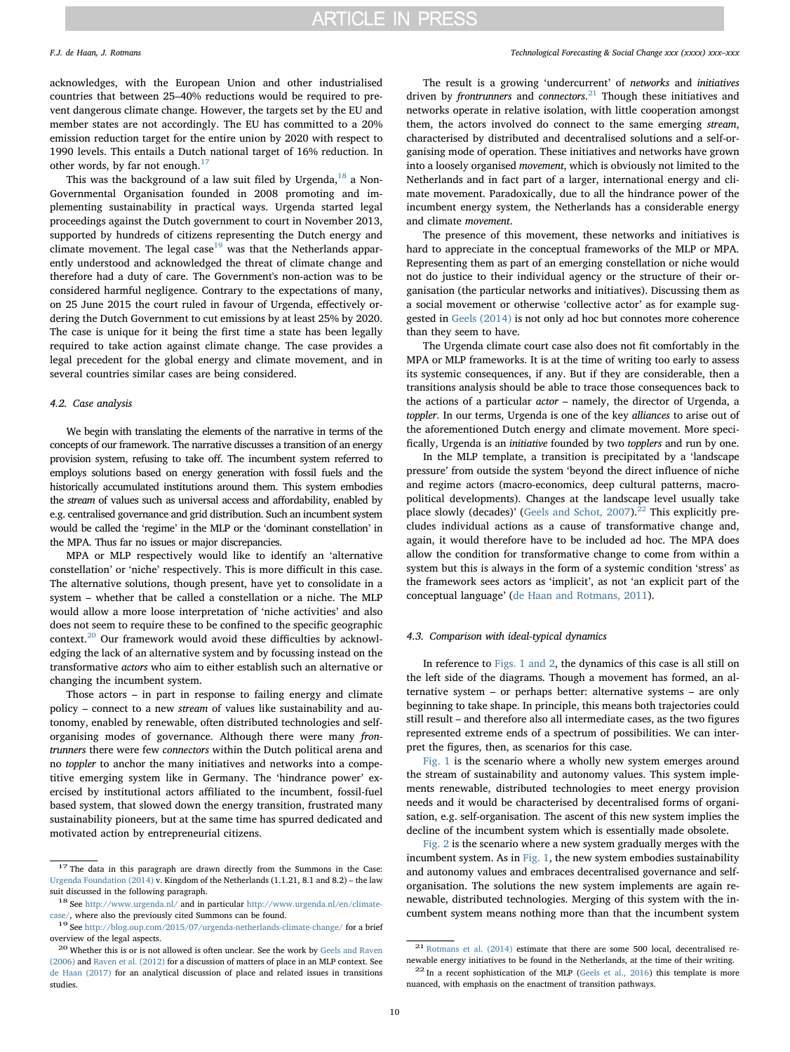acknowledges, with the European Union and other industrialised countries that between 25–40% reductions would be required to prevent dangerous climate change. However, the targets set by the EU and member states are not accordingly. The EU has committed to a 20% emission reduction target for the entire union by 2020 with respect to 1990 levels. This entails a Dutch national target of 16% reduction. In other words, by far not enough.<sup>[17](#page-9-0)</sup>

This was the background of a law suit filed by Urgenda,  $^{18}$  $^{18}$  $^{18}$  a Non-Governmental Organisation founded in 2008 promoting and implementing sustainability in practical ways. Urgenda started legal proceedings against the Dutch government to court in November 2013, supported by hundreds of citizens representing the Dutch energy and climate movement. The legal case<sup>[19](#page-9-2)</sup> was that the Netherlands apparently understood and acknowledged the threat of climate change and therefore had a duty of care. The Government's non-action was to be considered harmful negligence. Contrary to the expectations of many, on 25 June 2015 the court ruled in favour of Urgenda, effectively ordering the Dutch Government to cut emissions by at least 25% by 2020. The case is unique for it being the first time a state has been legally required to take action against climate change. The case provides a legal precedent for the global energy and climate movement, and in several countries similar cases are being considered.

### 4.2. Case analysis

We begin with translating the elements of the narrative in terms of the concepts of our framework. The narrative discusses a transition of an energy provision system, refusing to take off. The incumbent system referred to employs solutions based on energy generation with fossil fuels and the historically accumulated institutions around them. This system embodies the stream of values such as universal access and affordability, enabled by e.g. centralised governance and grid distribution. Such an incumbent system would be called the 'regime' in the MLP or the 'dominant constellation' in the MPA. Thus far no issues or major discrepancies.

MPA or MLP respectively would like to identify an 'alternative constellation' or 'niche' respectively. This is more difficult in this case. The alternative solutions, though present, have yet to consolidate in a system – whether that be called a constellation or a niche. The MLP would allow a more loose interpretation of 'niche activities' and also does not seem to require these to be confined to the specific geographic context.[20](#page-9-3) Our framework would avoid these difficulties by acknowledging the lack of an alternative system and by focussing instead on the transformative actors who aim to either establish such an alternative or changing the incumbent system.

Those actors – in part in response to failing energy and climate policy – connect to a new stream of values like sustainability and autonomy, enabled by renewable, often distributed technologies and selforganising modes of governance. Although there were many frontrunners there were few connectors within the Dutch political arena and no toppler to anchor the many initiatives and networks into a competitive emerging system like in Germany. The 'hindrance power' exercised by institutional actors affiliated to the incumbent, fossil-fuel based system, that slowed down the energy transition, frustrated many sustainability pioneers, but at the same time has spurred dedicated and motivated action by entrepreneurial citizens.

### F.J. de Haan, J. Rotmans *Technological Forecasting & Social Change xxx (xxxx) xxx–xxx*

The result is a growing 'undercurrent' of networks and initiatives driven by frontrunners and connectors.<sup>[21](#page-9-4)</sup> Though these initiatives and networks operate in relative isolation, with little cooperation amongst them, the actors involved do connect to the same emerging stream, characterised by distributed and decentralised solutions and a self-organising mode of operation. These initiatives and networks have grown into a loosely organised movement, which is obviously not limited to the Netherlands and in fact part of a larger, international energy and climate movement. Paradoxically, due to all the hindrance power of the incumbent energy system, the Netherlands has a considerable energy and climate movement.

The presence of this movement, these networks and initiatives is hard to appreciate in the conceptual frameworks of the MLP or MPA. Representing them as part of an emerging constellation or niche would not do justice to their individual agency or the structure of their organisation (the particular networks and initiatives). Discussing them as a social movement or otherwise 'collective actor' as for example suggested in [Geels \(2014\)](#page-10-9) is not only ad hoc but connotes more coherence than they seem to have.

The Urgenda climate court case also does not fit comfortably in the MPA or MLP frameworks. It is at the time of writing too early to assess its systemic consequences, if any. But if they are considerable, then a transitions analysis should be able to trace those consequences back to the actions of a particular actor – namely, the director of Urgenda, a toppler. In our terms, Urgenda is one of the key alliances to arise out of the aforementioned Dutch energy and climate movement. More specifically, Urgenda is an initiative founded by two topplers and run by one.

In the MLP template, a transition is precipitated by a 'landscape pressure' from outside the system 'beyond the direct influence of niche and regime actors (macro-economics, deep cultural patterns, macropolitical developments). Changes at the landscape level usually take place slowly (decades)' [\(Geels and Schot, 2007](#page-10-12)).<sup>[22](#page-9-5)</sup> This explicitly precludes individual actions as a cause of transformative change and, again, it would therefore have to be included ad hoc. The MPA does allow the condition for transformative change to come from within a system but this is always in the form of a systemic condition 'stress' as the framework sees actors as 'implicit', as not 'an explicit part of the conceptual language' ([de Haan and Rotmans, 2011\)](#page-10-5).

### 4.3. Comparison with ideal-typical dynamics

In reference to [Figs. 1 and 2,](#page-7-0) the dynamics of this case is all still on the left side of the diagrams. Though a movement has formed, an alternative system – or perhaps better: alternative systems – are only beginning to take shape. In principle, this means both trajectories could still result – and therefore also all intermediate cases, as the two figures represented extreme ends of a spectrum of possibilities. We can interpret the figures, then, as scenarios for this case.

[Fig. 1](#page-7-0) is the scenario where a wholly new system emerges around the stream of sustainability and autonomy values. This system implements renewable, distributed technologies to meet energy provision needs and it would be characterised by decentralised forms of organisation, e.g. self-organisation. The ascent of this new system implies the decline of the incumbent system which is essentially made obsolete.

[Fig. 2](#page-8-0) is the scenario where a new system gradually merges with the incumbent system. As in [Fig. 1](#page-7-0), the new system embodies sustainability and autonomy values and embraces decentralised governance and selforganisation. The solutions the new system implements are again renewable, distributed technologies. Merging of this system with the incumbent system means nothing more than that the incumbent system

<span id="page-9-0"></span><sup>&</sup>lt;sup>17</sup> The data in this paragraph are drawn directly from the Summons in the Case: [Urgenda Foundation \(2014\)](#page-11-18) v. Kingdom of the Netherlands (1.1.21, 8.1 and 8.2) – the law suit discussed in the following paragraph.

<span id="page-9-1"></span> $^{18}$  See <http://www.urgenda.nl/> and in particular [http://www.urgenda.nl/en/climate](http://www.urgenda.nl/en/climate-case/)[case/,](http://www.urgenda.nl/en/climate-case/) where also the previously cited Summons can be found. 19 See <http://blog.oup.com/2015/07/urgenda-netherlands-climate-change/> for a brief

<span id="page-9-2"></span>overview of the legal aspects.<br><sup>20</sup> Whether this is or is not allowed is often unclear. See the work by [Geels and Raven](#page-10-29)

<span id="page-9-3"></span>[<sup>\(2006\)</sup>](#page-10-29) and [Raven et al. \(2012\)](#page-11-19) for a discussion of matters of place in an MLP context. See [de Haan \(2017\)](#page-10-30) for an analytical discussion of place and related issues in transitions studies.

<span id="page-9-4"></span> $21$  [Rotmans et al. \(2014\)](#page-11-20) estimate that there are some 500 local, decentralised re-newable energy initiatives to be found in the Netherlands, at the time of their writing. <sup>22</sup> In a recent sophistication of the MLP [\(Geels et al., 2016\)](#page-10-7) this template is more

<span id="page-9-5"></span>nuanced, with emphasis on the enactment of transition pathways.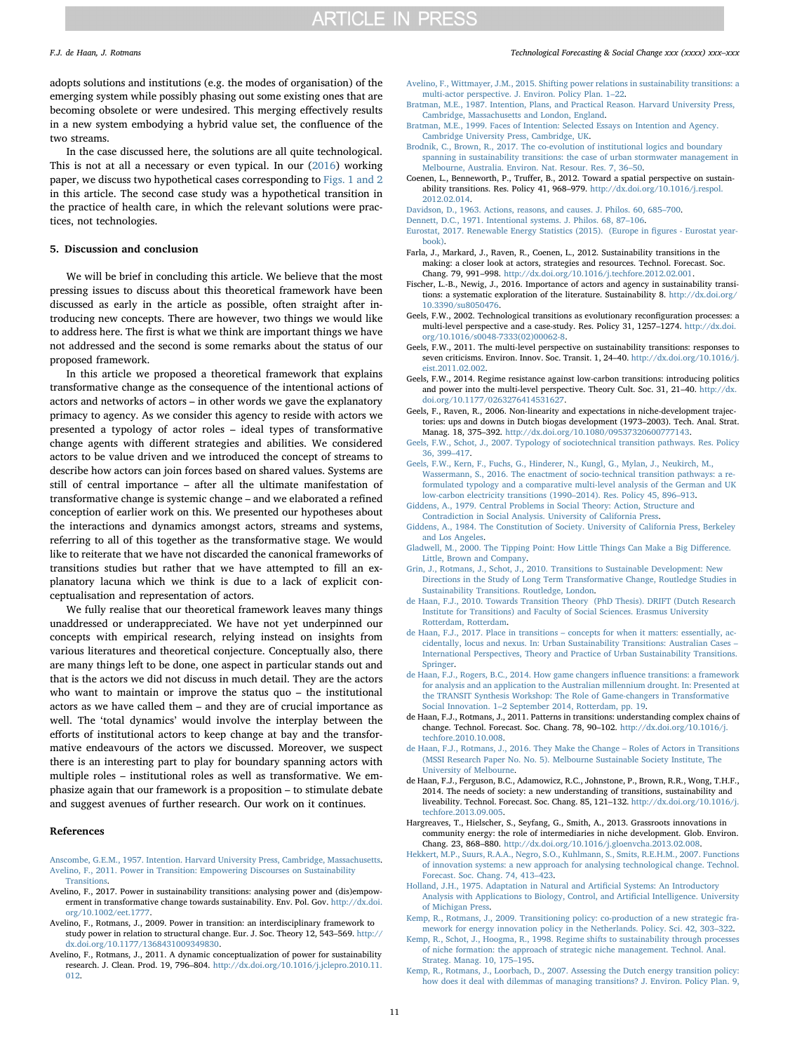adopts solutions and institutions (e.g. the modes of organisation) of the emerging system while possibly phasing out some existing ones that are becoming obsolete or were undesired. This merging effectively results in a new system embodying a hybrid value set, the confluence of the two streams.

In the case discussed here, the solutions are all quite technological. This is not at all a necessary or even typical. In our [\(2016](#page-10-31)) working paper, we discuss two hypothetical cases corresponding to [Figs. 1 and 2](#page-7-0) in this article. The second case study was a hypothetical transition in the practice of health care, in which the relevant solutions were practices, not technologies.

### 5. Discussion and conclusion

We will be brief in concluding this article. We believe that the most pressing issues to discuss about this theoretical framework have been discussed as early in the article as possible, often straight after introducing new concepts. There are however, two things we would like to address here. The first is what we think are important things we have not addressed and the second is some remarks about the status of our proposed framework.

In this article we proposed a theoretical framework that explains transformative change as the consequence of the intentional actions of actors and networks of actors – in other words we gave the explanatory primacy to agency. As we consider this agency to reside with actors we presented a typology of actor roles – ideal types of transformative change agents with different strategies and abilities. We considered actors to be value driven and we introduced the concept of streams to describe how actors can join forces based on shared values. Systems are still of central importance – after all the ultimate manifestation of transformative change is systemic change – and we elaborated a refined conception of earlier work on this. We presented our hypotheses about the interactions and dynamics amongst actors, streams and systems, referring to all of this together as the transformative stage. We would like to reiterate that we have not discarded the canonical frameworks of transitions studies but rather that we have attempted to fill an explanatory lacuna which we think is due to a lack of explicit conceptualisation and representation of actors.

We fully realise that our theoretical framework leaves many things unaddressed or underappreciated. We have not yet underpinned our concepts with empirical research, relying instead on insights from various literatures and theoretical conjecture. Conceptually also, there are many things left to be done, one aspect in particular stands out and that is the actors we did not discuss in much detail. They are the actors who want to maintain or improve the status quo – the institutional actors as we have called them – and they are of crucial importance as well. The 'total dynamics' would involve the interplay between the efforts of institutional actors to keep change at bay and the transformative endeavours of the actors we discussed. Moreover, we suspect there is an interesting part to play for boundary spanning actors with multiple roles – institutional roles as well as transformative. We emphasize again that our framework is a proposition – to stimulate debate and suggest avenues of further research. Our work on it continues.

### References

<span id="page-10-23"></span><span id="page-10-17"></span>[Anscombe, G.E.M., 1957. Intention. Harvard University Press, Cambridge, Massachusetts.](http://refhub.elsevier.com/S0040-1625(16)30835-6/rf0005) [Avelino, F., 2011. Power in Transition: Empowering Discourses on Sustainability](http://refhub.elsevier.com/S0040-1625(16)30835-6/rf0010) [Transitions.](http://refhub.elsevier.com/S0040-1625(16)30835-6/rf0010)

- Avelino, F., 2017. Power in sustainability transitions: analysing power and (dis)empowerment in transformative change towards sustainability. Env. Pol. Gov. [http://dx.doi.](http://dx.doi.org/10.1002/eet.1777) [org/10.1002/eet.1777.](http://dx.doi.org/10.1002/eet.1777)
- Avelino, F., Rotmans, J., 2009. Power in transition: an interdisciplinary framework to study power in relation to structural change. Eur. J. Soc. Theory 12, 543–569. [http://](http://dx.doi.org/10.1177/1368431009349830) [dx.doi.org/10.1177/1368431009349830](http://dx.doi.org/10.1177/1368431009349830).
- Avelino, F., Rotmans, J., 2011. A dynamic conceptualization of power for sustainability research. J. Clean. Prod. 19, 796–804. [http://dx.doi.org/10.1016/j.jclepro.2010.11.](http://dx.doi.org/10.1016/j.jclepro.2010.11.012) [012](http://dx.doi.org/10.1016/j.jclepro.2010.11.012).
- <span id="page-10-10"></span>[Avelino, F., Wittmayer, J.M., 2015. Shifting power relations in sustainability transitions: a](http://refhub.elsevier.com/S0040-1625(16)30835-6/rf0030) [multi-actor perspective. J. Environ. Policy Plan. 1](http://refhub.elsevier.com/S0040-1625(16)30835-6/rf0030)–22.
- <span id="page-10-22"></span>[Bratman, M.E., 1987. Intention, Plans, and Practical Reason. Harvard University Press,](http://refhub.elsevier.com/S0040-1625(16)30835-6/rf0035) [Cambridge, Massachusetts and London, England.](http://refhub.elsevier.com/S0040-1625(16)30835-6/rf0035)
- <span id="page-10-19"></span>[Bratman, M.E., 1999. Faces of Intention: Selected Essays on Intention and Agency.](http://refhub.elsevier.com/S0040-1625(16)30835-6/rf0040) [Cambridge University Press, Cambridge, UK](http://refhub.elsevier.com/S0040-1625(16)30835-6/rf0040).
- <span id="page-10-24"></span>[Brodnik, C., Brown, R., 2017. The co-evolution of institutional logics and boundary](http://refhub.elsevier.com/S0040-1625(16)30835-6/rf0045) [spanning in sustainability transitions: the case of urban stormwater management in](http://refhub.elsevier.com/S0040-1625(16)30835-6/rf0045) [Melbourne, Australia. Environ. Nat. Resour. Res. 7, 36](http://refhub.elsevier.com/S0040-1625(16)30835-6/rf0045)–50.
- <span id="page-10-26"></span>Coenen, L., Benneworth, P., Truffer, B., 2012. Toward a spatial perspective on sustainability transitions. Res. Policy 41, 968–979. [http://dx.doi.org/10.1016/j.respol.](http://dx.doi.org/10.1016/j.respol.2012.02.014) [2012.02.014](http://dx.doi.org/10.1016/j.respol.2012.02.014).
- <span id="page-10-18"></span>[Davidson, D., 1963. Actions, reasons, and causes. J. Philos. 60, 685](http://refhub.elsevier.com/S0040-1625(16)30835-6/rf0055)–700.
- <span id="page-10-20"></span>[Dennett, D.C., 1971. Intentional systems. J. Philos. 68, 87](http://refhub.elsevier.com/S0040-1625(16)30835-6/rf0060)–106.
- <span id="page-10-28"></span>[Eurostat, 2017. Renewable Energy Statistics \(2015\). \(Europe in](http://refhub.elsevier.com/S0040-1625(16)30835-6/rf0065) figures - Eurostat year[book\).](http://refhub.elsevier.com/S0040-1625(16)30835-6/rf0065)
- <span id="page-10-0"></span>Farla, J., Markard, J., Raven, R., Coenen, L., 2012. Sustainability transitions in the making: a closer look at actors, strategies and resources. Technol. Forecast. Soc. Chang. 79, 991–998. <http://dx.doi.org/10.1016/j.techfore.2012.02.001>.
- <span id="page-10-11"></span>Fischer, L.-B., Newig, J., 2016. Importance of actors and agency in sustainability transitions: a systematic exploration of the literature. Sustainability 8. [http://dx.doi.org/](http://dx.doi.org/10.3390/su8050476) [10.3390/su8050476](http://dx.doi.org/10.3390/su8050476).
- <span id="page-10-1"></span>Geels, F.W., 2002. Technological transitions as evolutionary reconfiguration processes: a multi-level perspective and a case-study. Res. Policy 31, 1257–1274. [http://dx.doi.](http://dx.doi.org/10.1016/s0048-7333(02)00062-8) [org/10.1016/s0048-7333\(02\)00062-8](http://dx.doi.org/10.1016/s0048-7333(02)00062-8).
- <span id="page-10-6"></span>Geels, F.W., 2011. The multi-level perspective on sustainability transitions: responses to seven criticisms. Environ. Innov. Soc. Transit. 1, 24–40. [http://dx.doi.org/10.1016/j.](http://dx.doi.org/10.1016/j.eist.2011.02.002) [eist.2011.02.002.](http://dx.doi.org/10.1016/j.eist.2011.02.002)
- <span id="page-10-9"></span>Geels, F.W., 2014. Regime resistance against low-carbon transitions: introducing politics and power into the multi-level perspective. Theory Cult. Soc. 31, 21–40. [http://dx.](http://dx.doi.org/10.1177/0263276414531627) [doi.org/10.1177/0263276414531627.](http://dx.doi.org/10.1177/0263276414531627)
- <span id="page-10-29"></span>Geels, F., Raven, R., 2006. Non-linearity and expectations in niche-development trajectories: ups and downs in Dutch biogas development (1973–2003). Tech. Anal. Strat. Manag. 18, 375–392. <http://dx.doi.org/10.1080/09537320600777143>.
- <span id="page-10-12"></span>[Geels, F.W., Schot, J., 2007. Typology of sociotechnical transition pathways. Res. Policy](http://refhub.elsevier.com/S0040-1625(16)30835-6/rf0100) [36, 399](http://refhub.elsevier.com/S0040-1625(16)30835-6/rf0100)–417.
- <span id="page-10-7"></span>[Geels, F.W., Kern, F., Fuchs, G., Hinderer, N., Kungl, G., Mylan, J., Neukirch, M.,](http://refhub.elsevier.com/S0040-1625(16)30835-6/rf0105) [Wassermann, S., 2016. The enactment of socio-technical transition pathways: a re](http://refhub.elsevier.com/S0040-1625(16)30835-6/rf0105)[formulated typology and a comparative multi-level analysis of the German and UK](http://refhub.elsevier.com/S0040-1625(16)30835-6/rf0105) [low-carbon electricity transitions \(1990](http://refhub.elsevier.com/S0040-1625(16)30835-6/rf0105)–2014). Res. Policy 45, 896–913.
- [Giddens, A., 1979. Central Problems in Social Theory: Action, Structure and](http://refhub.elsevier.com/S0040-1625(16)30835-6/rf0110) [Contradiction in Social Analysis. University of California Press.](http://refhub.elsevier.com/S0040-1625(16)30835-6/rf0110)
- <span id="page-10-16"></span>[Giddens, A., 1984. The Constitution of Society. University of California Press, Berkeley](http://refhub.elsevier.com/S0040-1625(16)30835-6/rf0115) [and Los Angeles.](http://refhub.elsevier.com/S0040-1625(16)30835-6/rf0115)
- <span id="page-10-25"></span>[Gladwell, M., 2000. The Tipping Point: How Little Things Can Make a Big Di](http://refhub.elsevier.com/S0040-1625(16)30835-6/rf0120)fference. [Little, Brown and Company.](http://refhub.elsevier.com/S0040-1625(16)30835-6/rf0120)
- <span id="page-10-2"></span>[Grin, J., Rotmans, J., Schot, J., 2010. Transitions to Sustainable Development: New](http://refhub.elsevier.com/S0040-1625(16)30835-6/rf0125) [Directions in the Study of Long Term Transformative Change, Routledge Studies in](http://refhub.elsevier.com/S0040-1625(16)30835-6/rf0125) [Sustainability Transitions. Routledge, London](http://refhub.elsevier.com/S0040-1625(16)30835-6/rf0125).
- <span id="page-10-13"></span>[de Haan, F.J., 2010. Towards Transition Theory \(PhD Thesis\). DRIFT \(Dutch Research](http://refhub.elsevier.com/S0040-1625(16)30835-6/rf0130) [Institute for Transitions\) and Faculty of Social Sciences. Erasmus University](http://refhub.elsevier.com/S0040-1625(16)30835-6/rf0130) [Rotterdam, Rotterdam](http://refhub.elsevier.com/S0040-1625(16)30835-6/rf0130).
- <span id="page-10-30"></span>de Haan, F.J., 2017. Place in transitions – [concepts for when it matters: essentially, ac](http://refhub.elsevier.com/S0040-1625(16)30835-6/rf0135)[cidentally, locus and nexus. In: Urban Sustainability Transitions: Australian Cases](http://refhub.elsevier.com/S0040-1625(16)30835-6/rf0135) – [International Perspectives, Theory and Practice of Urban Sustainability Transitions.](http://refhub.elsevier.com/S0040-1625(16)30835-6/rf0135) [Springer](http://refhub.elsevier.com/S0040-1625(16)30835-6/rf0135).
- <span id="page-10-14"></span>[de Haan, F.J., Rogers, B.C., 2014. How game changers in](http://refhub.elsevier.com/S0040-1625(16)30835-6/rf0140)fluence transitions: a framework [for analysis and an application to the Australian millennium drought. In: Presented at](http://refhub.elsevier.com/S0040-1625(16)30835-6/rf0140) [the TRANSIT Synthesis Workshop: The Role of Game-changers in Transformative](http://refhub.elsevier.com/S0040-1625(16)30835-6/rf0140) Social Innovation. 1–[2 September 2014, Rotterdam, pp. 19.](http://refhub.elsevier.com/S0040-1625(16)30835-6/rf0140)
- <span id="page-10-5"></span>de Haan, F.J., Rotmans, J., 2011. Patterns in transitions: understanding complex chains of change. Technol. Forecast. Soc. Chang. 78, 90–102. [http://dx.doi.org/10.1016/j.](http://dx.doi.org/10.1016/j.techfore.2010.10.008) [techfore.2010.10.008](http://dx.doi.org/10.1016/j.techfore.2010.10.008).
- <span id="page-10-31"></span>[de Haan, F.J., Rotmans, J., 2016. They Make the Change](http://refhub.elsevier.com/S0040-1625(16)30835-6/rf0150) – Roles of Actors in Transitions [\(MSSI Research Paper No. No. 5\). Melbourne Sustainable Society Institute, The](http://refhub.elsevier.com/S0040-1625(16)30835-6/rf0150) [University of Melbourne.](http://refhub.elsevier.com/S0040-1625(16)30835-6/rf0150)
- <span id="page-10-15"></span>de Haan, F.J., Ferguson, B.C., Adamowicz, R.C., Johnstone, P., Brown, R.R., Wong, T.H.F., 2014. The needs of society: a new understanding of transitions, sustainability and liveability. Technol. Forecast. Soc. Chang. 85, 121–132. [http://dx.doi.org/10.1016/j.](http://dx.doi.org/10.1016/j.techfore.2013.09.005) [techfore.2013.09.005](http://dx.doi.org/10.1016/j.techfore.2013.09.005).
- <span id="page-10-8"></span>Hargreaves, T., Hielscher, S., Seyfang, G., Smith, A., 2013. Grassroots innovations in community energy: the role of intermediaries in niche development. Glob. Environ. Chang. 23, 868–880. [http://dx.doi.org/10.1016/j.gloenvcha.2013.02.008.](http://dx.doi.org/10.1016/j.gloenvcha.2013.02.008)
- <span id="page-10-4"></span>[Hekkert, M.P., Suurs, R.A.A., Negro, S.O., Kuhlmann, S., Smits, R.E.H.M., 2007. Functions](http://refhub.elsevier.com/S0040-1625(16)30835-6/rf0165) [of innovation systems: a new approach for analysing technological change. Technol.](http://refhub.elsevier.com/S0040-1625(16)30835-6/rf0165) [Forecast. Soc. Chang. 74, 413](http://refhub.elsevier.com/S0040-1625(16)30835-6/rf0165)–423.
- <span id="page-10-21"></span>[Holland, J.H., 1975. Adaptation in Natural and Arti](http://refhub.elsevier.com/S0040-1625(16)30835-6/rf0170)ficial Systems: An Introductory [Analysis with Applications to Biology, Control, and Arti](http://refhub.elsevier.com/S0040-1625(16)30835-6/rf0170)ficial Intelligence. University [of Michigan Press](http://refhub.elsevier.com/S0040-1625(16)30835-6/rf0170).
- [Kemp, R., Rotmans, J., 2009. Transitioning policy: co-production of a new strategic fra](http://refhub.elsevier.com/S0040-1625(16)30835-6/rf0175)[mework for energy innovation policy in the Netherlands. Policy. Sci. 42, 303](http://refhub.elsevier.com/S0040-1625(16)30835-6/rf0175)–322. [Kemp, R., Schot, J., Hoogma, R., 1998. Regime shifts to sustainability through processes](http://refhub.elsevier.com/S0040-1625(16)30835-6/rf0180)
- <span id="page-10-3"></span>[of niche formation: the approach of strategic niche management. Technol. Anal.](http://refhub.elsevier.com/S0040-1625(16)30835-6/rf0180) Strateg. [Manag. 10, 175](http://refhub.elsevier.com/S0040-1625(16)30835-6/rf0180)–195.
- <span id="page-10-27"></span>[Kemp, R., Rotmans, J., Loorbach, D., 2007. Assessing the Dutch energy transition policy:](http://refhub.elsevier.com/S0040-1625(16)30835-6/rf0185) [how does it deal with dilemmas of managing transitions? J. Environ. Policy Plan. 9,](http://refhub.elsevier.com/S0040-1625(16)30835-6/rf0185)